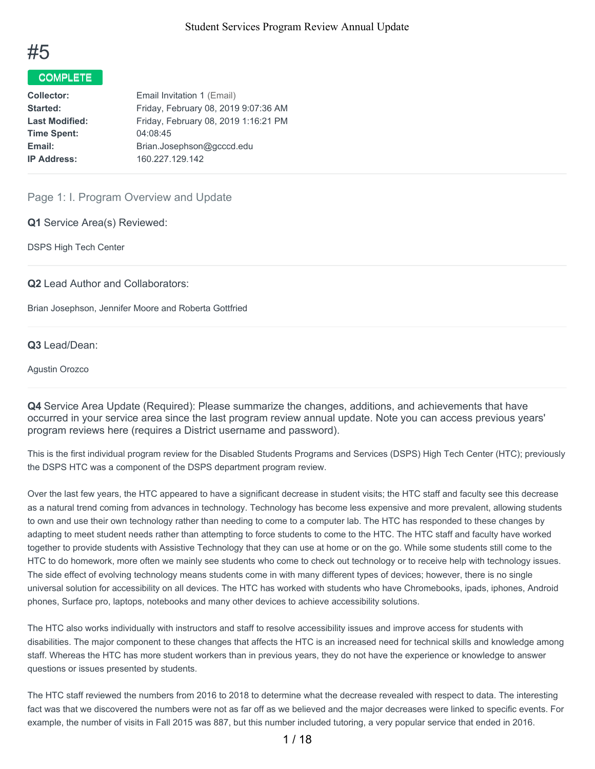

# COMPLETE

| <b>Collector:</b>     | Email Invitation 1 (Email)           |
|-----------------------|--------------------------------------|
| Started:              | Friday, February 08, 2019 9:07:36 AM |
| <b>Last Modified:</b> | Friday, February 08, 2019 1:16:21 PM |
| <b>Time Spent:</b>    | 04:08:45                             |
| Email:                | Brian.Josephson@gcccd.edu            |
| <b>IP Address:</b>    | 160.227.129.142                      |
|                       |                                      |

Page 1: I. Program Overview and Update

**Q1** Service Area(s) Reviewed:

DSPS High Tech Center

**Q2** Lead Author and Collaborators:

Brian Josephson, Jennifer Moore and Roberta Gottfried

**Q3** Lead/Dean:

Agustin Orozco

**Q4** Service Area Update (Required): Please summarize the changes, additions, and achievements that have occurred in your service area since the last program review annual update. Note you can access previous years' program reviews here (requires a District username and password).

This is the first individual program review for the Disabled Students Programs and Services (DSPS) High Tech Center (HTC); previously the DSPS HTC was a component of the DSPS department program review.

Over the last few years, the HTC appeared to have a significant decrease in student visits; the HTC staff and faculty see this decrease as a natural trend coming from advances in technology. Technology has become less expensive and more prevalent, allowing students to own and use their own technology rather than needing to come to a computer lab. The HTC has responded to these changes by adapting to meet student needs rather than attempting to force students to come to the HTC. The HTC staff and faculty have worked together to provide students with Assistive Technology that they can use at home or on the go. While some students still come to the HTC to do homework, more often we mainly see students who come to check out technology or to receive help with technology issues. The side effect of evolving technology means students come in with many different types of devices; however, there is no single universal solution for accessibility on all devices. The HTC has worked with students who have Chromebooks, ipads, iphones, Android phones, Surface pro, laptops, notebooks and many other devices to achieve accessibility solutions.

The HTC also works individually with instructors and staff to resolve accessibility issues and improve access for students with disabilities. The major component to these changes that affects the HTC is an increased need for technical skills and knowledge among staff. Whereas the HTC has more student workers than in previous years, they do not have the experience or knowledge to answer questions or issues presented by students.

The HTC staff reviewed the numbers from 2016 to 2018 to determine what the decrease revealed with respect to data. The interesting fact was that we discovered the numbers were not as far off as we believed and the major decreases were linked to specific events. For example, the number of visits in Fall 2015 was 887, but this number included tutoring, a very popular service that ended in 2016.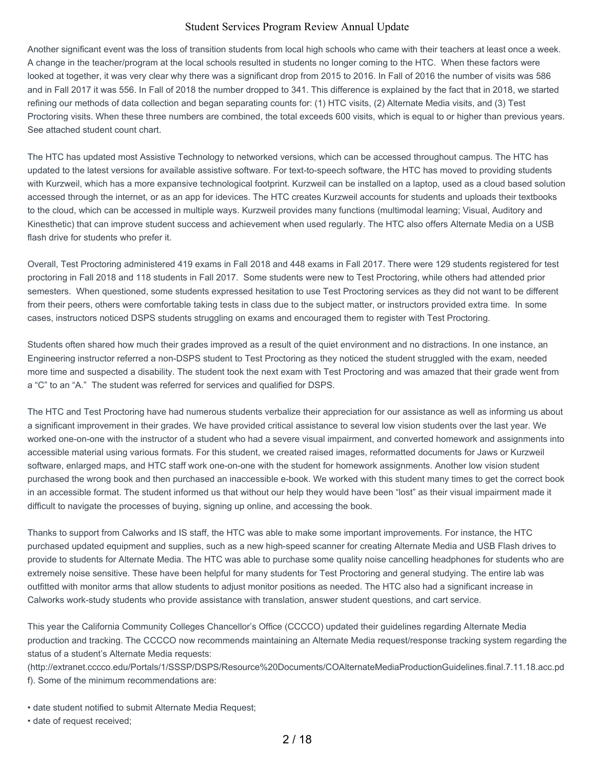Another significant event was the loss of transition students from local high schools who came with their teachers at least once a week. A change in the teacher/program at the local schools resulted in students no longer coming to the HTC. When these factors were looked at together, it was very clear why there was a significant drop from 2015 to 2016. In Fall of 2016 the number of visits was 586 and in Fall 2017 it was 556. In Fall of 2018 the number dropped to 341. This difference is explained by the fact that in 2018, we started refining our methods of data collection and began separating counts for: (1) HTC visits, (2) Alternate Media visits, and (3) Test Proctoring visits. When these three numbers are combined, the total exceeds 600 visits, which is equal to or higher than previous years. See attached student count chart.

The HTC has updated most Assistive Technology to networked versions, which can be accessed throughout campus. The HTC has updated to the latest versions for available assistive software. For text-to-speech software, the HTC has moved to providing students with Kurzweil, which has a more expansive technological footprint. Kurzweil can be installed on a laptop, used as a cloud based solution accessed through the internet, or as an app for idevices. The HTC creates Kurzweil accounts for students and uploads their textbooks to the cloud, which can be accessed in multiple ways. Kurzweil provides many functions (multimodal learning; Visual, Auditory and Kinesthetic) that can improve student success and achievement when used regularly. The HTC also offers Alternate Media on a USB flash drive for students who prefer it.

Overall, Test Proctoring administered 419 exams in Fall 2018 and 448 exams in Fall 2017. There were 129 students registered for test proctoring in Fall 2018 and 118 students in Fall 2017. Some students were new to Test Proctoring, while others had attended prior semesters. When questioned, some students expressed hesitation to use Test Proctoring services as they did not want to be different from their peers, others were comfortable taking tests in class due to the subject matter, or instructors provided extra time. In some cases, instructors noticed DSPS students struggling on exams and encouraged them to register with Test Proctoring.

Students often shared how much their grades improved as a result of the quiet environment and no distractions. In one instance, an Engineering instructor referred a non-DSPS student to Test Proctoring as they noticed the student struggled with the exam, needed more time and suspected a disability. The student took the next exam with Test Proctoring and was amazed that their grade went from a "C" to an "A." The student was referred for services and qualified for DSPS.

The HTC and Test Proctoring have had numerous students verbalize their appreciation for our assistance as well as informing us about a significant improvement in their grades. We have provided critical assistance to several low vision students over the last year. We worked one-on-one with the instructor of a student who had a severe visual impairment, and converted homework and assignments into accessible material using various formats. For this student, we created raised images, reformatted documents for Jaws or Kurzweil software, enlarged maps, and HTC staff work one-on-one with the student for homework assignments. Another low vision student purchased the wrong book and then purchased an inaccessible e-book. We worked with this student many times to get the correct book in an accessible format. The student informed us that without our help they would have been "lost" as their visual impairment made it difficult to navigate the processes of buying, signing up online, and accessing the book.

Thanks to support from Calworks and IS staff, the HTC was able to make some important improvements. For instance, the HTC purchased updated equipment and supplies, such as a new high-speed scanner for creating Alternate Media and USB Flash drives to provide to students for Alternate Media. The HTC was able to purchase some quality noise cancelling headphones for students who are extremely noise sensitive. These have been helpful for many students for Test Proctoring and general studying. The entire lab was outfitted with monitor arms that allow students to adjust monitor positions as needed. The HTC also had a significant increase in Calworks work-study students who provide assistance with translation, answer student questions, and cart service.

This year the California Community Colleges Chancellor's Office (CCCCO) updated their guidelines regarding Alternate Media production and tracking. The CCCCO now recommends maintaining an Alternate Media request/response tracking system regarding the status of a student's Alternate Media requests:

(http://extranet.cccco.edu/Portals/1/SSSP/DSPS/Resource%20Documents/COAlternateMediaProductionGuidelines.final.7.11.18.acc.pd f). Some of the minimum recommendations are:

- date student notified to submit Alternate Media Request;
- date of request received;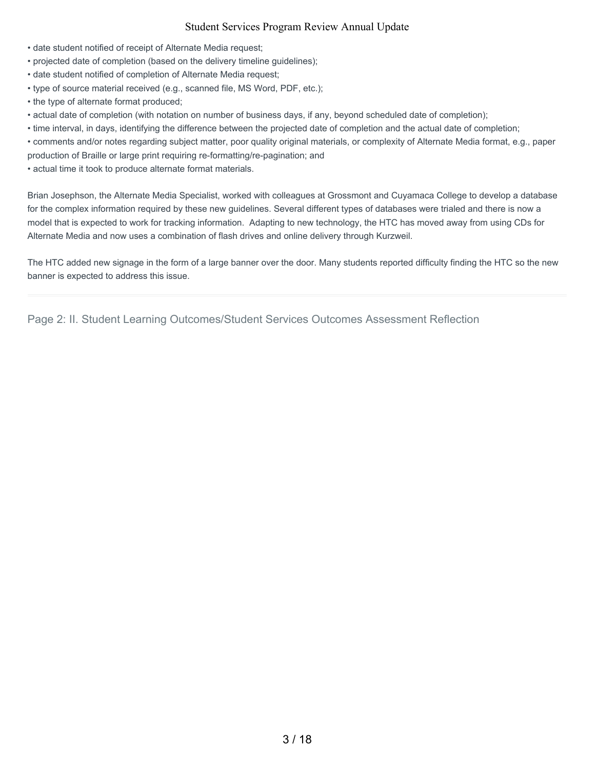- date student notified of receipt of Alternate Media request;
- projected date of completion (based on the delivery timeline guidelines);
- date student notified of completion of Alternate Media request;
- type of source material received (e.g., scanned file, MS Word, PDF, etc.);
- the type of alternate format produced;
- actual date of completion (with notation on number of business days, if any, beyond scheduled date of completion);
- time interval, in days, identifying the difference between the projected date of completion and the actual date of completion;

• comments and/or notes regarding subject matter, poor quality original materials, or complexity of Alternate Media format, e.g., paper production of Braille or large print requiring re-formatting/re-pagination; and

• actual time it took to produce alternate format materials.

Brian Josephson, the Alternate Media Specialist, worked with colleagues at Grossmont and Cuyamaca College to develop a database for the complex information required by these new guidelines. Several different types of databases were trialed and there is now a model that is expected to work for tracking information. Adapting to new technology, the HTC has moved away from using CDs for Alternate Media and now uses a combination of flash drives and online delivery through Kurzweil.

The HTC added new signage in the form of a large banner over the door. Many students reported difficulty finding the HTC so the new banner is expected to address this issue.

Page 2: II. Student Learning Outcomes/Student Services Outcomes Assessment Reflection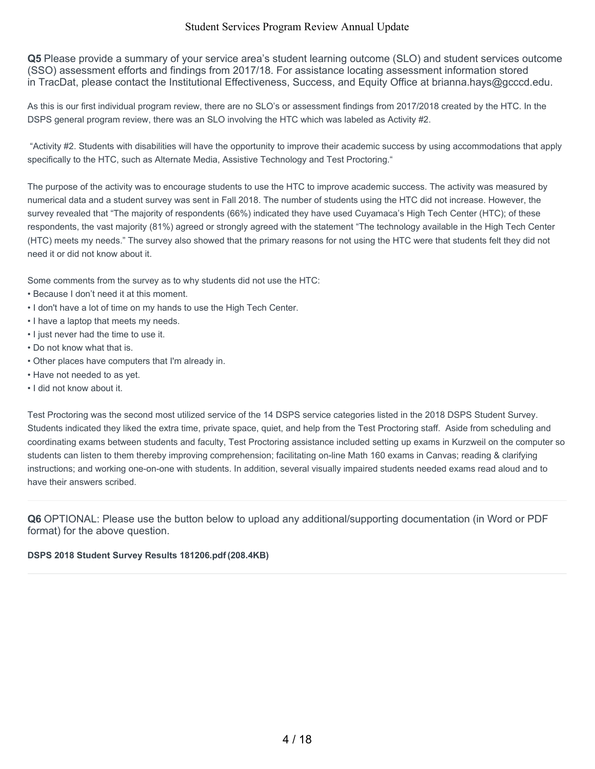**Q5** Please provide a summary of your service area's student learning outcome (SLO) and student services outcome (SSO) assessment efforts and findings from 2017/18. For assistance locating assessment information stored in TracDat, please contact the Institutional Effectiveness, Success, and Equity Office at brianna.hays@gcccd.edu.

As this is our first individual program review, there are no SLO's or assessment findings from 2017/2018 created by the HTC. In the DSPS general program review, there was an SLO involving the HTC which was labeled as Activity #2.

"Activity #2. Students with disabilities will have the opportunity to improve their academic success by using accommodations that apply specifically to the HTC, such as Alternate Media, Assistive Technology and Test Proctoring."

The purpose of the activity was to encourage students to use the HTC to improve academic success. The activity was measured by numerical data and a student survey was sent in Fall 2018. The number of students using the HTC did not increase. However, the survey revealed that "The majority of respondents (66%) indicated they have used Cuyamaca's High Tech Center (HTC); of these respondents, the vast majority (81%) agreed or strongly agreed with the statement "The technology available in the High Tech Center (HTC) meets my needs." The survey also showed that the primary reasons for not using the HTC were that students felt they did not need it or did not know about it.

Some comments from the survey as to why students did not use the HTC:

- Because I don't need it at this moment.
- I don't have a lot of time on my hands to use the High Tech Center.
- I have a laptop that meets my needs.
- I just never had the time to use it.
- Do not know what that is.
- Other places have computers that I'm already in.
- Have not needed to as yet.
- I did not know about it.

Test Proctoring was the second most utilized service of the 14 DSPS service categories listed in the 2018 DSPS Student Survey. Students indicated they liked the extra time, private space, quiet, and help from the Test Proctoring staff. Aside from scheduling and coordinating exams between students and faculty, Test Proctoring assistance included setting up exams in Kurzweil on the computer so students can listen to them thereby improving comprehension; facilitating on-line Math 160 exams in Canvas; reading & clarifying instructions; and working one-on-one with students. In addition, several visually impaired students needed exams read aloud and to have their answers scribed.

**Q6** OPTIONAL: Please use the button below to upload any additional/supporting documentation (in Word or PDF format) for the above question.

#### **DSPS 2018 Student Survey Results 181206.pdf (208.4KB)**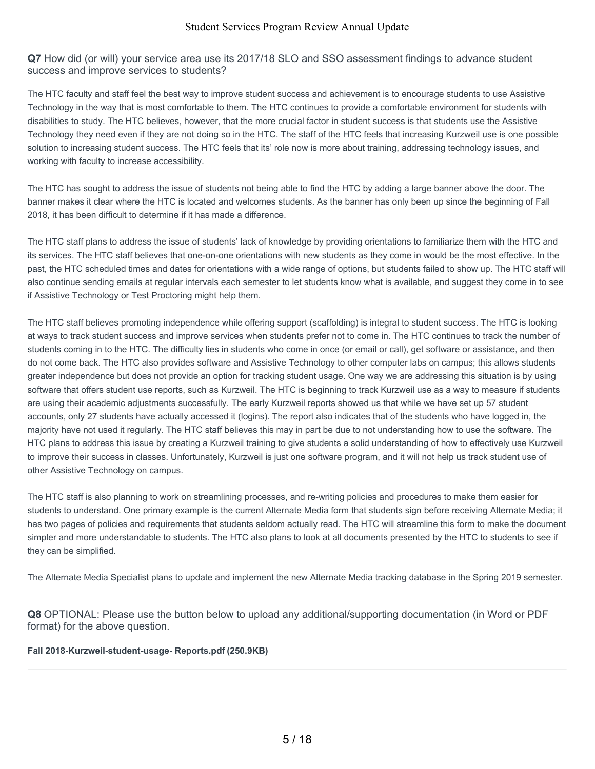**Q7** How did (or will) your service area use its 2017/18 SLO and SSO assessment findings to advance student success and improve services to students?

The HTC faculty and staff feel the best way to improve student success and achievement is to encourage students to use Assistive Technology in the way that is most comfortable to them. The HTC continues to provide a comfortable environment for students with disabilities to study. The HTC believes, however, that the more crucial factor in student success is that students use the Assistive Technology they need even if they are not doing so in the HTC. The staff of the HTC feels that increasing Kurzweil use is one possible solution to increasing student success. The HTC feels that its' role now is more about training, addressing technology issues, and working with faculty to increase accessibility.

The HTC has sought to address the issue of students not being able to find the HTC by adding a large banner above the door. The banner makes it clear where the HTC is located and welcomes students. As the banner has only been up since the beginning of Fall 2018, it has been difficult to determine if it has made a difference.

The HTC staff plans to address the issue of students' lack of knowledge by providing orientations to familiarize them with the HTC and its services. The HTC staff believes that one-on-one orientations with new students as they come in would be the most effective. In the past, the HTC scheduled times and dates for orientations with a wide range of options, but students failed to show up. The HTC staff will also continue sending emails at regular intervals each semester to let students know what is available, and suggest they come in to see if Assistive Technology or Test Proctoring might help them.

The HTC staff believes promoting independence while offering support (scaffolding) is integral to student success. The HTC is looking at ways to track student success and improve services when students prefer not to come in. The HTC continues to track the number of students coming in to the HTC. The difficulty lies in students who come in once (or email or call), get software or assistance, and then do not come back. The HTC also provides software and Assistive Technology to other computer labs on campus; this allows students greater independence but does not provide an option for tracking student usage. One way we are addressing this situation is by using software that offers student use reports, such as Kurzweil. The HTC is beginning to track Kurzweil use as a way to measure if students are using their academic adjustments successfully. The early Kurzweil reports showed us that while we have set up 57 student accounts, only 27 students have actually accessed it (logins). The report also indicates that of the students who have logged in, the majority have not used it regularly. The HTC staff believes this may in part be due to not understanding how to use the software. The HTC plans to address this issue by creating a Kurzweil training to give students a solid understanding of how to effectively use Kurzweil to improve their success in classes. Unfortunately, Kurzweil is just one software program, and it will not help us track student use of other Assistive Technology on campus.

The HTC staff is also planning to work on streamlining processes, and re-writing policies and procedures to make them easier for students to understand. One primary example is the current Alternate Media form that students sign before receiving Alternate Media; it has two pages of policies and requirements that students seldom actually read. The HTC will streamline this form to make the document simpler and more understandable to students. The HTC also plans to look at all documents presented by the HTC to students to see if they can be simplified.

The Alternate Media Specialist plans to update and implement the new Alternate Media tracking database in the Spring 2019 semester.

**Q8** OPTIONAL: Please use the button below to upload any additional/supporting documentation (in Word or PDF format) for the above question.

#### **Fall 2018-Kurzweil-student-usage- Reports.pdf (250.9KB)**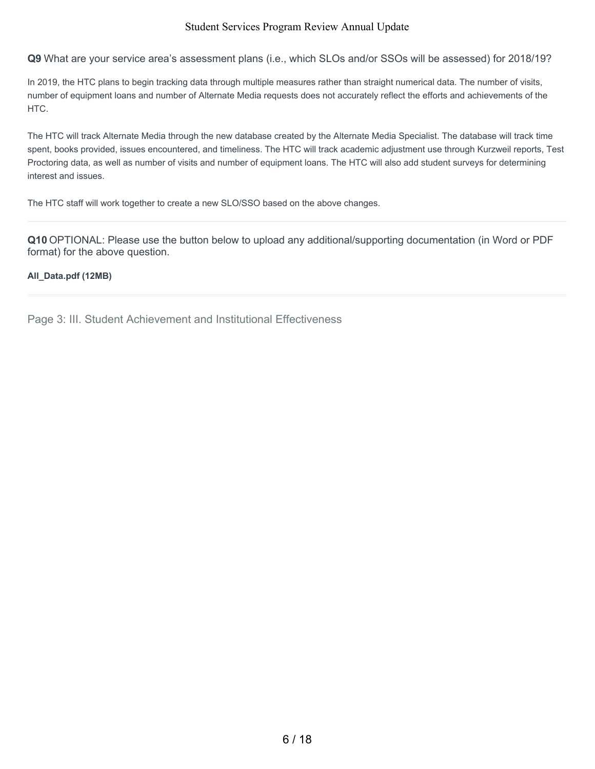**Q9** What are your service area's assessment plans (i.e., which SLOs and/or SSOs will be assessed) for 2018/19?

In 2019, the HTC plans to begin tracking data through multiple measures rather than straight numerical data. The number of visits, number of equipment loans and number of Alternate Media requests does not accurately reflect the efforts and achievements of the HTC.

The HTC will track Alternate Media through the new database created by the Alternate Media Specialist. The database will track time spent, books provided, issues encountered, and timeliness. The HTC will track academic adjustment use through Kurzweil reports, Test Proctoring data, as well as number of visits and number of equipment loans. The HTC will also add student surveys for determining interest and issues.

The HTC staff will work together to create a new SLO/SSO based on the above changes.

**Q10** OPTIONAL: Please use the button below to upload any additional/supporting documentation (in Word or PDF format) for the above question.

#### **All\_Data.pdf (12MB)**

Page 3: III. Student Achievement and Institutional Effectiveness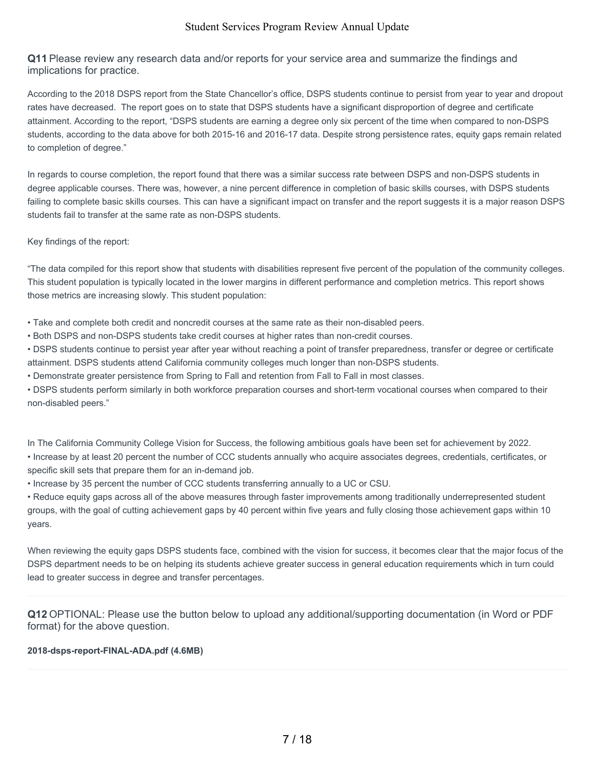**Q11** Please review any research data and/or reports for your service area and summarize the findings and implications for practice.

According to the 2018 DSPS report from the State Chancellor's office, DSPS students continue to persist from year to year and dropout rates have decreased. The report goes on to state that DSPS students have a significant disproportion of degree and certificate attainment. According to the report, "DSPS students are earning a degree only six percent of the time when compared to non-DSPS students, according to the data above for both 2015-16 and 2016-17 data. Despite strong persistence rates, equity gaps remain related to completion of degree."

In regards to course completion, the report found that there was a similar success rate between DSPS and non-DSPS students in degree applicable courses. There was, however, a nine percent difference in completion of basic skills courses, with DSPS students failing to complete basic skills courses. This can have a significant impact on transfer and the report suggests it is a major reason DSPS students fail to transfer at the same rate as non-DSPS students.

Key findings of the report:

"The data compiled for this report show that students with disabilities represent five percent of the population of the community colleges. This student population is typically located in the lower margins in different performance and completion metrics. This report shows those metrics are increasing slowly. This student population:

• Take and complete both credit and noncredit courses at the same rate as their non-disabled peers.

• Both DSPS and non-DSPS students take credit courses at higher rates than non-credit courses.

• DSPS students continue to persist year after year without reaching a point of transfer preparedness, transfer or degree or certificate attainment. DSPS students attend California community colleges much longer than non-DSPS students.

• Demonstrate greater persistence from Spring to Fall and retention from Fall to Fall in most classes.

• DSPS students perform similarly in both workforce preparation courses and short-term vocational courses when compared to their non-disabled peers."

In The California Community College Vision for Success, the following ambitious goals have been set for achievement by 2022.

• Increase by at least 20 percent the number of CCC students annually who acquire associates degrees, credentials, certificates, or specific skill sets that prepare them for an in-demand job.

• Increase by 35 percent the number of CCC students transferring annually to a UC or CSU.

• Reduce equity gaps across all of the above measures through faster improvements among traditionally underrepresented student groups, with the goal of cutting achievement gaps by 40 percent within five years and fully closing those achievement gaps within 10 years.

When reviewing the equity gaps DSPS students face, combined with the vision for success, it becomes clear that the major focus of the DSPS department needs to be on helping its students achieve greater success in general education requirements which in turn could lead to greater success in degree and transfer percentages.

**Q12** OPTIONAL: Please use the button below to upload any additional/supporting documentation (in Word or PDF format) for the above question.

#### **2018-dsps-report-FINAL-ADA.pdf (4.6MB)**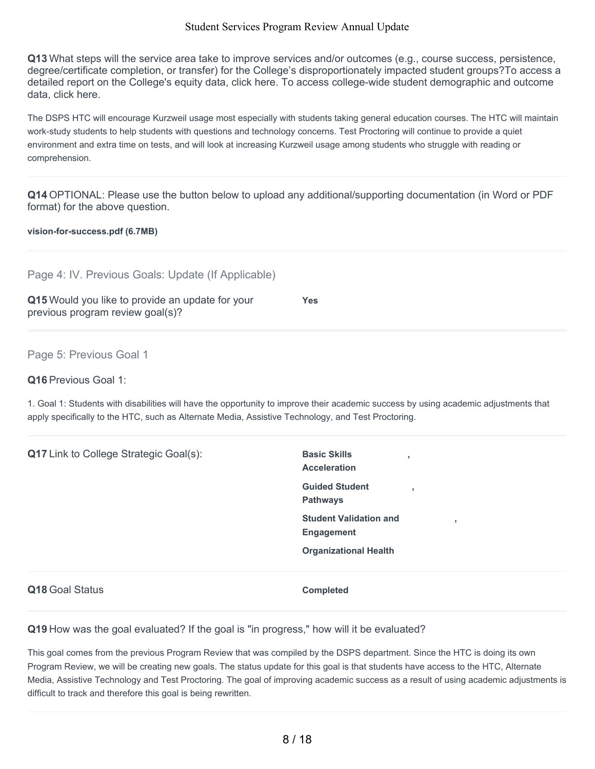**Q13** What steps will the service area take to improve services and/or outcomes (e.g., course success, persistence, degree/certificate completion, or transfer) for the College's disproportionately impacted student groups?To access a detailed report on the College's equity data, click here. To access college-wide student demographic and outcome data, click here.

The DSPS HTC will encourage Kurzweil usage most especially with students taking general education courses. The HTC will maintain work-study students to help students with questions and technology concerns. Test Proctoring will continue to provide a quiet environment and extra time on tests, and will look at increasing Kurzweil usage among students who struggle with reading or comprehension.

**Q14** OPTIONAL: Please use the button below to upload any additional/supporting documentation (in Word or PDF format) for the above question.

#### **vision-for-success.pdf (6.7MB)**

| Page 4: IV. Previous Goals: Update (If Applicable)                                                                                   |            |
|--------------------------------------------------------------------------------------------------------------------------------------|------------|
| Q15 Would you like to provide an update for your<br>previous program review goal(s)?                                                 | <b>Yes</b> |
| Page 5: Previous Goal 1                                                                                                              |            |
| <b>Q16</b> Previous Goal 1:                                                                                                          |            |
| 1. Goal 1: Students with disabilities will have the opportunity to improve their academic success by using academic adjustments that |            |

apply specifically to the HTC, such as Alternate Media, Assistive Technology, and Test Proctoring.

| Q17 Link to College Strategic Goal(s): | <b>Basic Skills</b><br><b>Acceleration</b><br><b>Guided Student</b><br>$\overline{\phantom{a}}$<br><b>Pathways</b> |
|----------------------------------------|--------------------------------------------------------------------------------------------------------------------|
|                                        | <b>Student Validation and</b><br>,<br><b>Engagement</b><br><b>Organizational Health</b>                            |
| Q18 Goal Status                        | <b>Completed</b>                                                                                                   |

**Q19** How was the goal evaluated? If the goal is "in progress," how will it be evaluated?

This goal comes from the previous Program Review that was compiled by the DSPS department. Since the HTC is doing its own Program Review, we will be creating new goals. The status update for this goal is that students have access to the HTC, Alternate Media, Assistive Technology and Test Proctoring. The goal of improving academic success as a result of using academic adjustments is difficult to track and therefore this goal is being rewritten.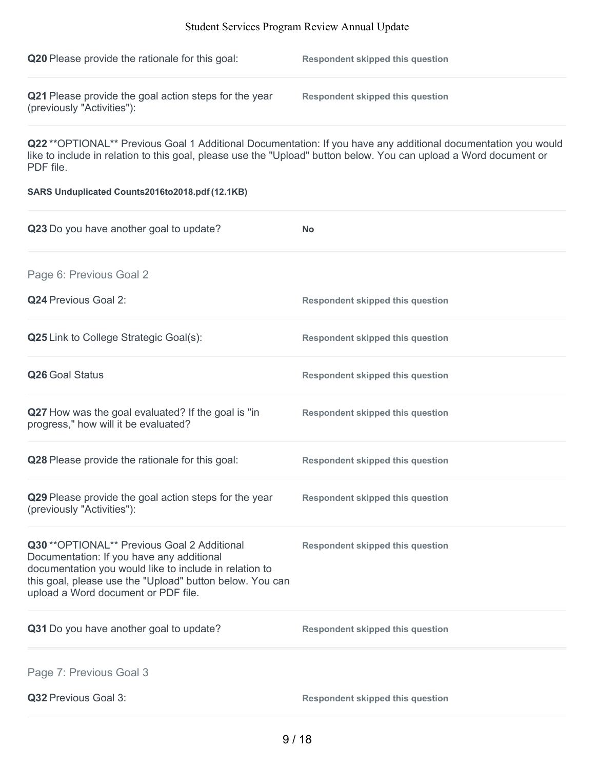| <b>Q20</b> Please provide the rationale for this goal:                              | <b>Respondent skipped this question</b> |
|-------------------------------------------------------------------------------------|-----------------------------------------|
| Q21 Please provide the goal action steps for the year<br>(previously "Activities"): | Respondent skipped this question        |

**Q22** \*\*OPTIONAL\*\* Previous Goal 1 Additional Documentation: If you have any additional documentation you would like to include in relation to this goal, please use the "Upload" button below. You can upload a Word document or PDF file.

#### **SARS Unduplicated Counts2016to2018.pdf (12.1KB)**

| Q23 Do you have another goal to update?                                                                                                                                                                                                                | <b>No</b>                               |
|--------------------------------------------------------------------------------------------------------------------------------------------------------------------------------------------------------------------------------------------------------|-----------------------------------------|
| Page 6: Previous Goal 2                                                                                                                                                                                                                                |                                         |
| Q24 Previous Goal 2:                                                                                                                                                                                                                                   | <b>Respondent skipped this question</b> |
| Q25 Link to College Strategic Goal(s):                                                                                                                                                                                                                 | <b>Respondent skipped this question</b> |
| Q26 Goal Status                                                                                                                                                                                                                                        | <b>Respondent skipped this question</b> |
| Q27 How was the goal evaluated? If the goal is "in<br>progress," how will it be evaluated?                                                                                                                                                             | <b>Respondent skipped this question</b> |
| Q28 Please provide the rationale for this goal:                                                                                                                                                                                                        | <b>Respondent skipped this question</b> |
| Q29 Please provide the goal action steps for the year<br>(previously "Activities"):                                                                                                                                                                    | <b>Respondent skipped this question</b> |
| Q30 ** OPTIONAL** Previous Goal 2 Additional<br>Documentation: If you have any additional<br>documentation you would like to include in relation to<br>this goal, please use the "Upload" button below. You can<br>upload a Word document or PDF file. | <b>Respondent skipped this question</b> |
| Q31 Do you have another goal to update?                                                                                                                                                                                                                | <b>Respondent skipped this question</b> |
| Page 7: Previous Goal 3                                                                                                                                                                                                                                |                                         |
| Q32 Previous Goal 3:                                                                                                                                                                                                                                   | <b>Respondent skipped this question</b> |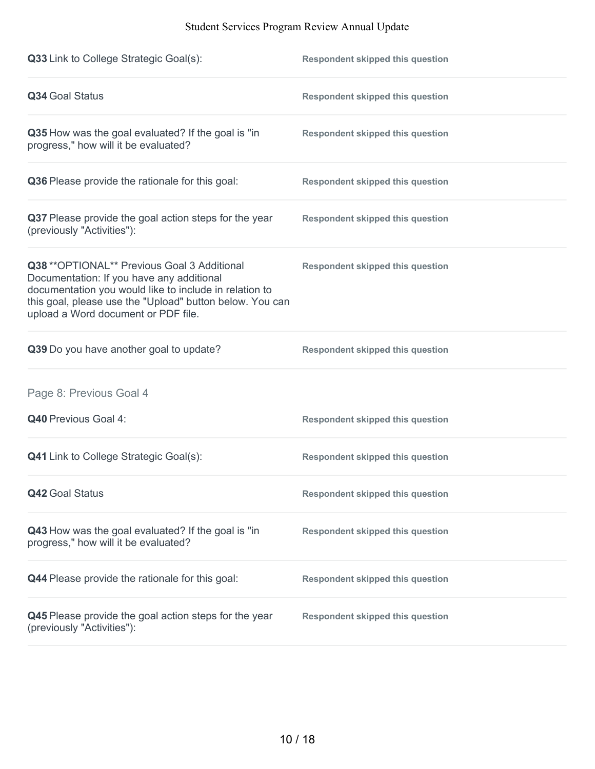| Q33 Link to College Strategic Goal(s):                                                                                                                                                                                                                 | <b>Respondent skipped this question</b> |
|--------------------------------------------------------------------------------------------------------------------------------------------------------------------------------------------------------------------------------------------------------|-----------------------------------------|
| Q34 Goal Status                                                                                                                                                                                                                                        | <b>Respondent skipped this question</b> |
| Q35 How was the goal evaluated? If the goal is "in<br>progress," how will it be evaluated?                                                                                                                                                             | <b>Respondent skipped this question</b> |
| Q36 Please provide the rationale for this goal:                                                                                                                                                                                                        | <b>Respondent skipped this question</b> |
| Q37 Please provide the goal action steps for the year<br>(previously "Activities"):                                                                                                                                                                    | <b>Respondent skipped this question</b> |
| Q38 ** OPTIONAL** Previous Goal 3 Additional<br>Documentation: If you have any additional<br>documentation you would like to include in relation to<br>this goal, please use the "Upload" button below. You can<br>upload a Word document or PDF file. | <b>Respondent skipped this question</b> |
| Q39 Do you have another goal to update?                                                                                                                                                                                                                | <b>Respondent skipped this question</b> |
| Page 8: Previous Goal 4                                                                                                                                                                                                                                |                                         |
| Q40 Previous Goal 4:                                                                                                                                                                                                                                   | <b>Respondent skipped this question</b> |
| <b>Q41</b> Link to College Strategic Goal(s):                                                                                                                                                                                                          | <b>Respondent skipped this question</b> |
| Q42 Goal Status                                                                                                                                                                                                                                        | <b>Respondent skipped this question</b> |
| Q43 How was the goal evaluated? If the goal is "in<br>progress," how will it be evaluated?                                                                                                                                                             | <b>Respondent skipped this question</b> |
| Q44 Please provide the rationale for this goal:                                                                                                                                                                                                        | <b>Respondent skipped this question</b> |
| Q45 Please provide the goal action steps for the year<br>(previously "Activities"):                                                                                                                                                                    | <b>Respondent skipped this question</b> |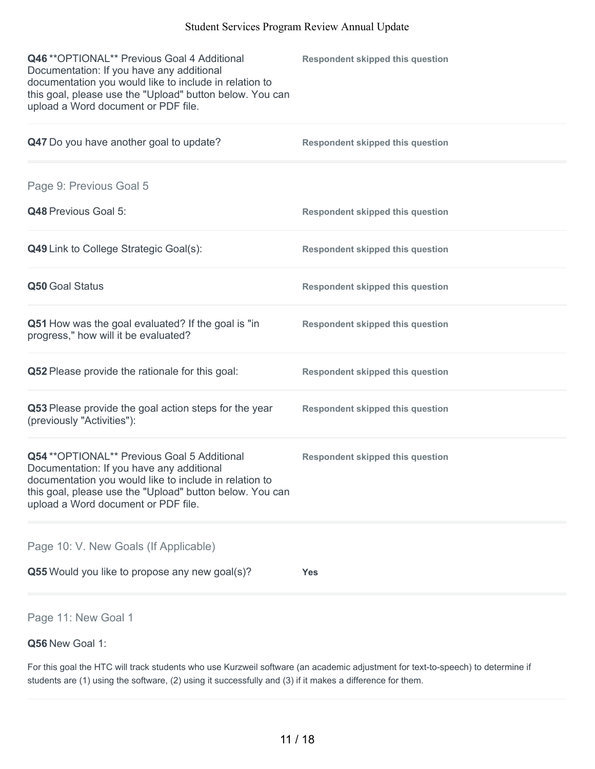| Q46 ** OPTIONAL** Previous Goal 4 Additional<br>Documentation: If you have any additional<br>documentation you would like to include in relation to<br>this goal, please use the "Upload" button below. You can<br>upload a Word document or PDF file. | <b>Respondent skipped this question</b> |
|--------------------------------------------------------------------------------------------------------------------------------------------------------------------------------------------------------------------------------------------------------|-----------------------------------------|
| Q47 Do you have another goal to update?                                                                                                                                                                                                                | <b>Respondent skipped this question</b> |
| Page 9: Previous Goal 5                                                                                                                                                                                                                                |                                         |
| Q48 Previous Goal 5:                                                                                                                                                                                                                                   | <b>Respondent skipped this question</b> |
| Q49 Link to College Strategic Goal(s):                                                                                                                                                                                                                 | <b>Respondent skipped this question</b> |
| Q50 Goal Status                                                                                                                                                                                                                                        | <b>Respondent skipped this question</b> |
| Q51 How was the goal evaluated? If the goal is "in<br>progress," how will it be evaluated?                                                                                                                                                             | <b>Respondent skipped this question</b> |
| Q52 Please provide the rationale for this goal:                                                                                                                                                                                                        | <b>Respondent skipped this question</b> |
| Q53 Please provide the goal action steps for the year<br>(previously "Activities"):                                                                                                                                                                    | <b>Respondent skipped this question</b> |
| Q54 ** OPTIONAL** Previous Goal 5 Additional<br>Documentation: If you have any additional<br>documentation you would like to include in relation to<br>this goal, please use the "Upload" button below. You can<br>upload a Word document or PDF file. | <b>Respondent skipped this question</b> |
| Page 10: V. New Goals (If Applicable)                                                                                                                                                                                                                  |                                         |
| Q55 Would you like to propose any new goal(s)?                                                                                                                                                                                                         | <b>Yes</b>                              |
| Page 11: New Goal 1                                                                                                                                                                                                                                    |                                         |

# **Q56** New Goal 1:

For this goal the HTC will track students who use Kurzweil software (an academic adjustment for text-to-speech) to determine if students are (1) using the software, (2) using it successfully and (3) if it makes a difference for them.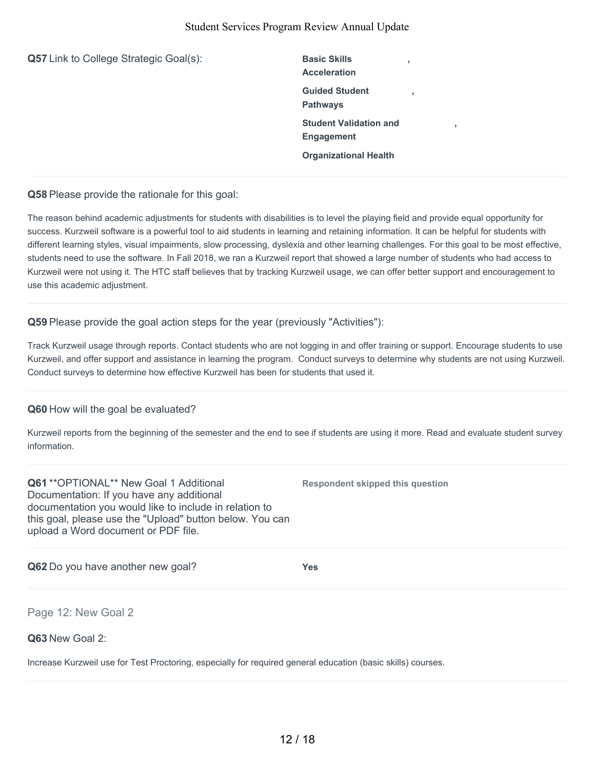| Q57 Link to College Strategic Goal(s): | <b>Basic Skills</b><br><b>Acceleration</b>  | $\overline{2}$ |   |
|----------------------------------------|---------------------------------------------|----------------|---|
|                                        | <b>Guided Student</b><br><b>Pathways</b>    | J.             |   |
|                                        | <b>Student Validation and</b><br>Engagement |                | ٠ |
|                                        | <b>Organizational Health</b>                |                |   |
|                                        |                                             |                |   |

**Q58** Please provide the rationale for this goal:

The reason behind academic adjustments for students with disabilities is to level the playing field and provide equal opportunity for success. Kurzweil software is a powerful tool to aid students in learning and retaining information. It can be helpful for students with different learning styles, visual impairments, slow processing, dyslexia and other learning challenges. For this goal to be most effective, students need to use the software. In Fall 2018, we ran a Kurzweil report that showed a large number of students who had access to Kurzweil were not using it. The HTC staff believes that by tracking Kurzweil usage, we can offer better support and encouragement to use this academic adjustment.

**Q59** Please provide the goal action steps for the year (previously "Activities"):

Track Kurzweil usage through reports. Contact students who are not logging in and offer training or support. Encourage students to use Kurzweil, and offer support and assistance in learning the program. Conduct surveys to determine why students are not using Kurzweil. Conduct surveys to determine how effective Kurzweil has been for students that used it.

# **Q60** How will the goal be evaluated?

Kurzweil reports from the beginning of the semester and the end to see if students are using it more. Read and evaluate student survey information.

**Q61** \*\*OPTIONAL\*\* New Goal 1 Additional Documentation: If you have any additional documentation you would like to include in relation to this goal, please use the "Upload" button below. You can upload a Word document or PDF file.

**Respondent skipped this question**

**Q62** Do you have another new goal? **Yes**

Page 12: New Goal 2

**Q63** New Goal 2:

Increase Kurzweil use for Test Proctoring, especially for required general education (basic skills) courses.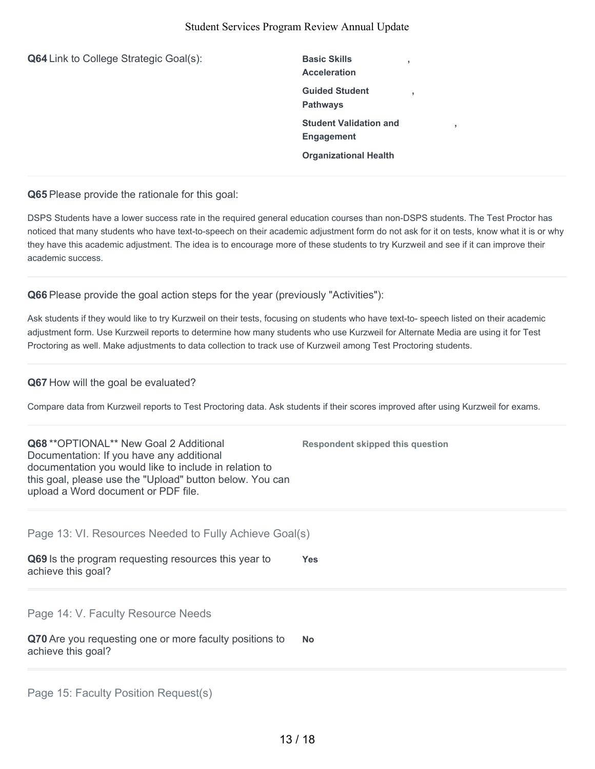**Q64** Link to College Strategic Goal(s): Basic Skills **Acceleration , Guided Student Pathways , Student Validation and Engagement , Organizational Health Q65** Please provide the rationale for this goal: DSPS Students have a lower success rate in the required general education courses than non-DSPS students. The Test Proctor has noticed that many students who have text-to-speech on their academic adjustment form do not ask for it on tests, know what it is or why they have this academic adjustment. The idea is to encourage more of these students to try Kurzweil and see if it can improve their

**Q66** Please provide the goal action steps for the year (previously "Activities"):

Ask students if they would like to try Kurzweil on their tests, focusing on students who have text-to- speech listed on their academic adjustment form. Use Kurzweil reports to determine how many students who use Kurzweil for Alternate Media are using it for Test Proctoring as well. Make adjustments to data collection to track use of Kurzweil among Test Proctoring students.

#### **Q67** How will the goal be evaluated?

academic success.

Compare data from Kurzweil reports to Test Proctoring data. Ask students if their scores improved after using Kurzweil for exams.

| <b>Q68</b> ** OPTIONAL ** New Goal 2 Additional<br>Documentation: If you have any additional<br>documentation you would like to include in relation to<br>this goal, please use the "Upload" button below. You can<br>upload a Word document or PDF file. | <b>Respondent skipped this question</b> |
|-----------------------------------------------------------------------------------------------------------------------------------------------------------------------------------------------------------------------------------------------------------|-----------------------------------------|
| Page 13: VI. Resources Needed to Fully Achieve Goal(s)<br>Q69 Is the program requesting resources this year to<br>achieve this goal?                                                                                                                      | <b>Yes</b>                              |
| Page 14: V. Faculty Resource Needs<br>Q70 Are you requesting one or more faculty positions to<br>achieve this goal?                                                                                                                                       | <b>No</b>                               |

Page 15: Faculty Position Request(s)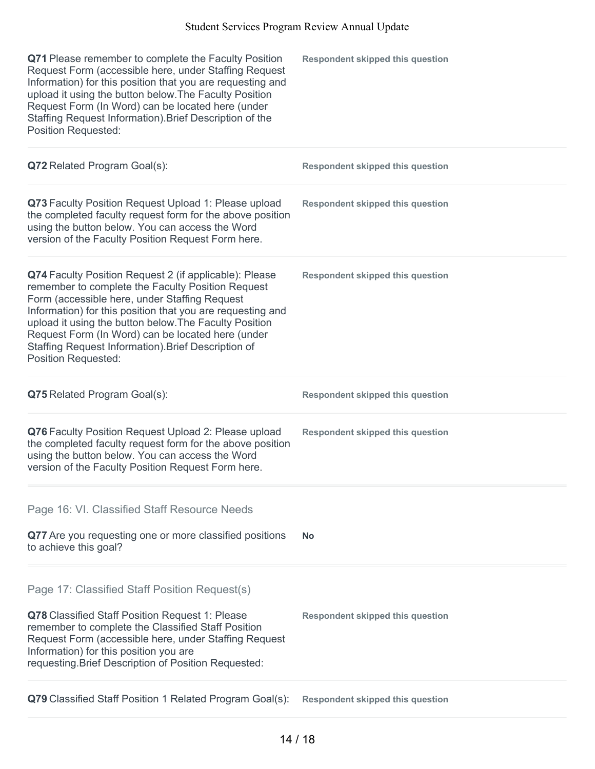| Q71 Please remember to complete the Faculty Position<br>Request Form (accessible here, under Staffing Request<br>Information) for this position that you are requesting and<br>upload it using the button below. The Faculty Position<br>Request Form (In Word) can be located here (under<br>Staffing Request Information). Brief Description of the<br><b>Position Requested:</b>                                            | <b>Respondent skipped this question</b> |
|--------------------------------------------------------------------------------------------------------------------------------------------------------------------------------------------------------------------------------------------------------------------------------------------------------------------------------------------------------------------------------------------------------------------------------|-----------------------------------------|
| Q72 Related Program Goal(s):                                                                                                                                                                                                                                                                                                                                                                                                   | <b>Respondent skipped this question</b> |
| Q73 Faculty Position Request Upload 1: Please upload<br>the completed faculty request form for the above position<br>using the button below. You can access the Word<br>version of the Faculty Position Request Form here.                                                                                                                                                                                                     | <b>Respondent skipped this question</b> |
| Q74 Faculty Position Request 2 (if applicable): Please<br>remember to complete the Faculty Position Request<br>Form (accessible here, under Staffing Request<br>Information) for this position that you are requesting and<br>upload it using the button below. The Faculty Position<br>Request Form (In Word) can be located here (under<br>Staffing Request Information). Brief Description of<br><b>Position Requested:</b> | <b>Respondent skipped this question</b> |
| Q75 Related Program Goal(s):                                                                                                                                                                                                                                                                                                                                                                                                   | <b>Respondent skipped this question</b> |
| Q76 Faculty Position Request Upload 2: Please upload<br>the completed faculty request form for the above position<br>using the button below. You can access the Word<br>version of the Faculty Position Request Form here.                                                                                                                                                                                                     | <b>Respondent skipped this question</b> |
| Page 16: VI. Classified Staff Resource Needs                                                                                                                                                                                                                                                                                                                                                                                   |                                         |
| Q77 Are you requesting one or more classified positions<br>to achieve this goal?                                                                                                                                                                                                                                                                                                                                               | <b>No</b>                               |
| Page 17: Classified Staff Position Request(s)<br>Q78 Classified Staff Position Request 1: Please<br>remember to complete the Classified Staff Position<br>Request Form (accessible here, under Staffing Request<br>Information) for this position you are<br>requesting. Brief Description of Position Requested:                                                                                                              | <b>Respondent skipped this question</b> |
| Q79 Classified Staff Position 1 Related Program Goal(s):                                                                                                                                                                                                                                                                                                                                                                       | <b>Respondent skipped this question</b> |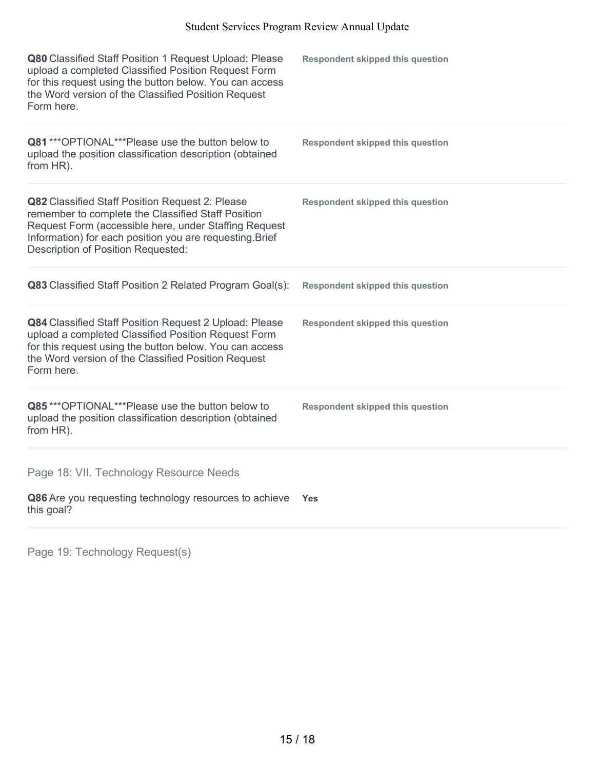| Q80 Classified Staff Position 1 Request Upload: Please<br>upload a completed Classified Position Request Form<br>for this request using the button below. You can access<br>the Word version of the Classified Position Request<br>Form here.                    | <b>Respondent skipped this question</b> |
|------------------------------------------------------------------------------------------------------------------------------------------------------------------------------------------------------------------------------------------------------------------|-----------------------------------------|
| Q81 *** OPTIONAL*** Please use the button below to<br>upload the position classification description (obtained<br>from HR).                                                                                                                                      | <b>Respondent skipped this question</b> |
| Q82 Classified Staff Position Request 2: Please<br>remember to complete the Classified Staff Position<br>Request Form (accessible here, under Staffing Request<br>Information) for each position you are requesting. Brief<br>Description of Position Requested: | <b>Respondent skipped this question</b> |
| Q83 Classified Staff Position 2 Related Program Goal(s):                                                                                                                                                                                                         | <b>Respondent skipped this question</b> |
| Q84 Classified Staff Position Request 2 Upload: Please<br>upload a completed Classified Position Request Form<br>for this request using the button below. You can access<br>the Word version of the Classified Position Request<br>Form here.                    | <b>Respondent skipped this question</b> |
| Q85***OPTIONAL***Please use the button below to<br>upload the position classification description (obtained<br>from HR).                                                                                                                                         | <b>Respondent skipped this question</b> |
| Page 18: VII. Technology Resource Needs                                                                                                                                                                                                                          |                                         |
| Q86 Are you requesting technology resources to achieve<br>this goal?                                                                                                                                                                                             | Yes                                     |

Page 19: Technology Request(s)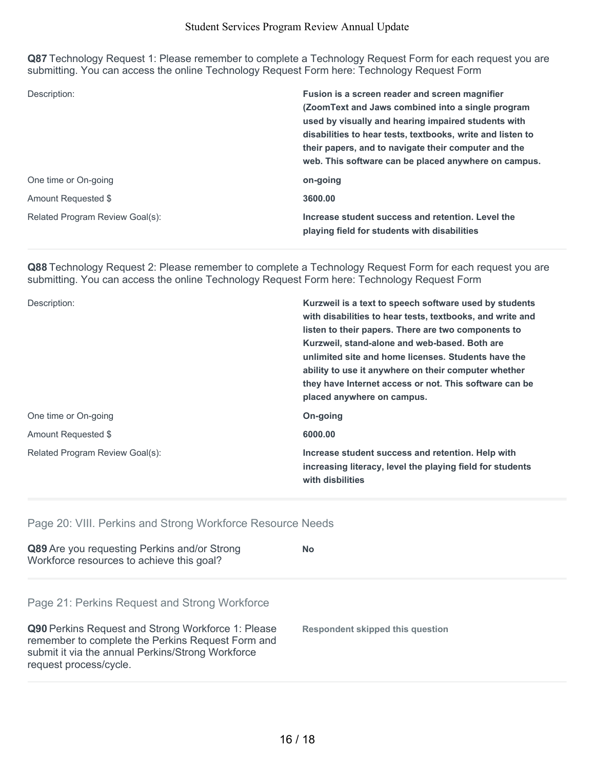**Q87** Technology Request 1: Please remember to complete a Technology Request Form for each request you are submitting. You can access the online Technology Request Form here: Technology Request Form

| Description:                    | Fusion is a screen reader and screen magnifier<br>(ZoomText and Jaws combined into a single program<br>used by visually and hearing impaired students with<br>disabilities to hear tests, textbooks, write and listen to<br>their papers, and to navigate their computer and the<br>web. This software can be placed anywhere on campus. |
|---------------------------------|------------------------------------------------------------------------------------------------------------------------------------------------------------------------------------------------------------------------------------------------------------------------------------------------------------------------------------------|
| One time or On-going            | on-going                                                                                                                                                                                                                                                                                                                                 |
| Amount Requested \$             | 3600.00                                                                                                                                                                                                                                                                                                                                  |
| Related Program Review Goal(s): | Increase student success and retention. Level the<br>playing field for students with disabilities                                                                                                                                                                                                                                        |

**Q88** Technology Request 2: Please remember to complete a Technology Request Form for each request you are submitting. You can access the online Technology Request Form here: Technology Request Form

| Description:                    | Kurzweil is a text to speech software used by students<br>with disabilities to hear tests, textbooks, and write and<br>listen to their papers. There are two components to<br>Kurzweil, stand-alone and web-based. Both are<br>unlimited site and home licenses. Students have the<br>ability to use it anywhere on their computer whether<br>they have Internet access or not. This software can be<br>placed anywhere on campus. |
|---------------------------------|------------------------------------------------------------------------------------------------------------------------------------------------------------------------------------------------------------------------------------------------------------------------------------------------------------------------------------------------------------------------------------------------------------------------------------|
| One time or On-going            | On-going                                                                                                                                                                                                                                                                                                                                                                                                                           |
| Amount Requested \$             | 6000.00                                                                                                                                                                                                                                                                                                                                                                                                                            |
| Related Program Review Goal(s): | Increase student success and retention. Help with<br>increasing literacy, level the playing field for students<br>with disbilities                                                                                                                                                                                                                                                                                                 |

Page 20: VIII. Perkins and Strong Workforce Resource Needs

| Q89 Are you requesting Perkins and/or Strong<br>Workforce resources to achieve this goal?                                                                                              | No                               |
|----------------------------------------------------------------------------------------------------------------------------------------------------------------------------------------|----------------------------------|
| Page 21: Perkins Request and Strong Workforce                                                                                                                                          |                                  |
| Q90 Perkins Request and Strong Workforce 1: Please<br>remember to complete the Perkins Request Form and<br>submit it via the annual Perkins/Strong Workforce<br>request process/cycle. | Respondent skipped this question |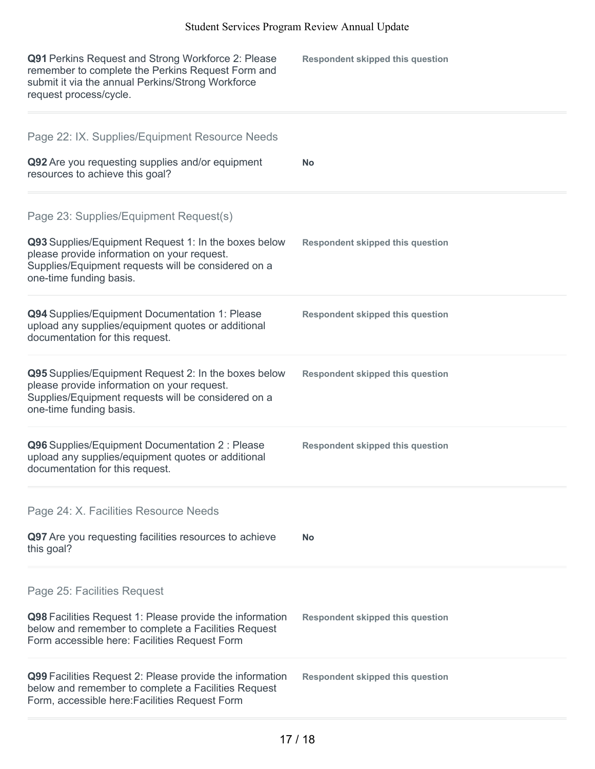| Q91 Perkins Request and Strong Workforce 2: Please<br>remember to complete the Perkins Request Form and<br>submit it via the annual Perkins/Strong Workforce<br>request process/cycle.                                          | <b>Respondent skipped this question</b> |
|---------------------------------------------------------------------------------------------------------------------------------------------------------------------------------------------------------------------------------|-----------------------------------------|
| Page 22: IX. Supplies/Equipment Resource Needs<br>Q92 Are you requesting supplies and/or equipment<br>resources to achieve this goal?                                                                                           | <b>No</b>                               |
| Page 23: Supplies/Equipment Request(s)<br>Q93 Supplies/Equipment Request 1: In the boxes below<br>please provide information on your request.<br>Supplies/Equipment requests will be considered on a<br>one-time funding basis. | <b>Respondent skipped this question</b> |
| Q94 Supplies/Equipment Documentation 1: Please<br>upload any supplies/equipment quotes or additional<br>documentation for this request.                                                                                         | <b>Respondent skipped this question</b> |
| Q95 Supplies/Equipment Request 2: In the boxes below<br>please provide information on your request.<br>Supplies/Equipment requests will be considered on a<br>one-time funding basis.                                           | <b>Respondent skipped this question</b> |
| Q96 Supplies/Equipment Documentation 2 : Please<br>upload any supplies/equipment quotes or additional<br>documentation for this request.                                                                                        | <b>Respondent skipped this question</b> |
| Page 24: X. Facilities Resource Needs<br>Q97 Are you requesting facilities resources to achieve<br>this goal?                                                                                                                   | <b>No</b>                               |
| Page 25: Facilities Request<br>Q98 Facilities Request 1: Please provide the information<br>below and remember to complete a Facilities Request<br>Form accessible here: Facilities Request Form                                 | <b>Respondent skipped this question</b> |
| Q99 Facilities Request 2: Please provide the information<br>below and remember to complete a Facilities Request<br>Form, accessible here: Facilities Request Form                                                               | <b>Respondent skipped this question</b> |